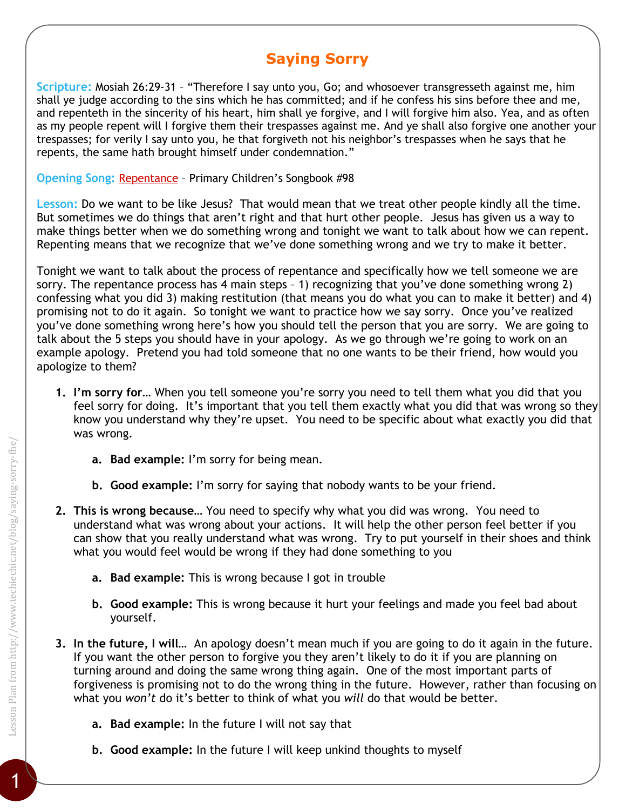## **Saying Sorry**

**Scripture:** Mosiah 26:29-31 – "Therefore I say unto you, Go; and whosoever transgresseth against me, him shall ye judge according to the sins which he has committed; and if he confess his sins before thee and me, and repenteth in the sincerity of his heart, him shall ye forgive, and I will forgive him also. Yea, and as often as my people repent will I forgive them their trespasses against me. And ye shall also forgive one another your trespasses; for verily I say unto you, he that forgiveth not his neighbor's trespasses when he says that he repents, the same hath brought himself under condemnation."

**Opening Song:** [Repentance](https://www.lds.org/music/library/childrens-songbook/repentance?lang=eng) – Primary Children's Songbook #98

**Lesson:** Do we want to be like Jesus? That would mean that we treat other people kindly all the time. But sometimes we do things that aren't right and that hurt other people. Jesus has given us a way to make things better when we do something wrong and tonight we want to talk about how we can repent. Repenting means that we recognize that we've done something wrong and we try to make it better.

Tonight we want to talk about the process of repentance and specifically how we tell someone we are sorry. The repentance process has 4 main steps – 1) recognizing that you've done something wrong 2) confessing what you did 3) making restitution (that means you do what you can to make it better) and 4) promising not to do it again. So tonight we want to practice how we say sorry. Once you've realized you've done something wrong here's how you should tell the person that you are sorry. We are going to talk about the 5 steps you should have in your apology. As we go through we're going to work on an example apology. Pretend you had told someone that no one wants to be their friend, how would you apologize to them?

- **1. I'm sorry for…** When you tell someone you're sorry you need to tell them what you did that you feel sorry for doing. It's important that you tell them exactly what you did that was wrong so they know you understand why they're upset. You need to be specific about what exactly you did that was wrong.
	- **a. Bad example:** I'm sorry for being mean.
	- **b. Good example:** I'm sorry for saying that nobody wants to be your friend.
- **2. This is wrong because…** You need to specify why what you did was wrong. You need to understand what was wrong about your actions. It will help the other person feel better if you can show that you really understand what was wrong. Try to put yourself in their shoes and think what you would feel would be wrong if they had done something to you
	- **a. Bad example:** This is wrong because I got in trouble
	- **b. Good example:** This is wrong because it hurt your feelings and made you feel bad about yourself.
- **3. In the future, I will…** An apology doesn't mean much if you are going to do it again in the future. If you want the other person to forgive you they aren't likely to do it if you are planning on turning around and doing the same wrong thing again. One of the most important parts of forgiveness is promising not to do the wrong thing in the future. However, rather than focusing on what you *won't* do it's better to think of what you *will* do that would be better.
	- **a. Bad example:** In the future I will not say that
	- **b. Good example:** In the future I will keep unkind thoughts to myself